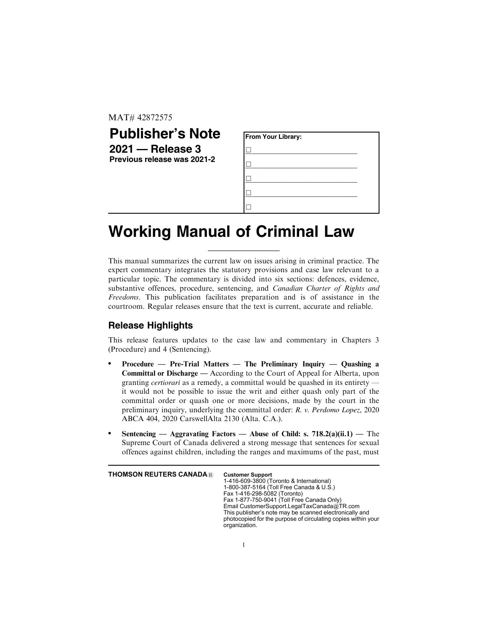MAT# 42872575

| <b>Publisher's Note</b>     | <b>From Your Library:</b> |
|-----------------------------|---------------------------|
| $2021 -$ Release 3          |                           |
| Previous release was 2021-2 |                           |
|                             |                           |
|                             |                           |
|                             |                           |

## **Working Manual of Criminal Law**

This manual summarizes the current law on issues arising in criminal practice. The expert commentary integrates the statutory provisions and case law relevant to a particular topic. The commentary is divided into six sections: defences, evidence, substantive offences, procedure, sentencing, and Canadian Charter of Rights and Freedoms. This publication facilitates preparation and is of assistance in the courtroom. Regular releases ensure that the text is current, accurate and reliable.

\_\_\_\_\_\_\_\_\_\_\_\_\_\_\_\_\_\_\_

## **Release Highlights**

This release features updates to the case law and commentary in Chapters 3 (Procedure) and 4 (Sentencing).

- Procedure Pre-Trial Matters The Preliminary Inquiry Quashing a Committal or Discharge — According to the Court of Appeal for Alberta, upon granting *certiorari* as a remedy, a committal would be quashed in its entirety it would not be possible to issue the writ and either quash only part of the committal order or quash one or more decisions, made by the court in the preliminary inquiry, underlying the committal order: *R. v. Perdomo Lopez*, 2020 ABCA 404, 2020 CarswellAlta 2130 (Alta. C.A.).
- Sentencing Aggravating Factors Abuse of Child: s. 718.2(a)(ii.1) The Supreme Court of Canada delivered a strong message that sentences for sexual offences against children, including the ranges and maximums of the past, must

| <b>THOMSON REUTERS CANADA®</b> | 1-416-609-3800 (Toronto & International)<br>1-800-387-5164 (Toll Free Canada & U.S.)<br>Fax 1-416-298-5082 (Toronto)<br>Fax 1-877-750-9041 (Toll Free Canada Only)<br>Email CustomerSupport.LegalTaxCanada@TR.com<br>This publisher's note may be scanned electronically and<br>photocopied for the purpose of circulating copies within your<br>organization. |
|--------------------------------|----------------------------------------------------------------------------------------------------------------------------------------------------------------------------------------------------------------------------------------------------------------------------------------------------------------------------------------------------------------|
|--------------------------------|----------------------------------------------------------------------------------------------------------------------------------------------------------------------------------------------------------------------------------------------------------------------------------------------------------------------------------------------------------------|